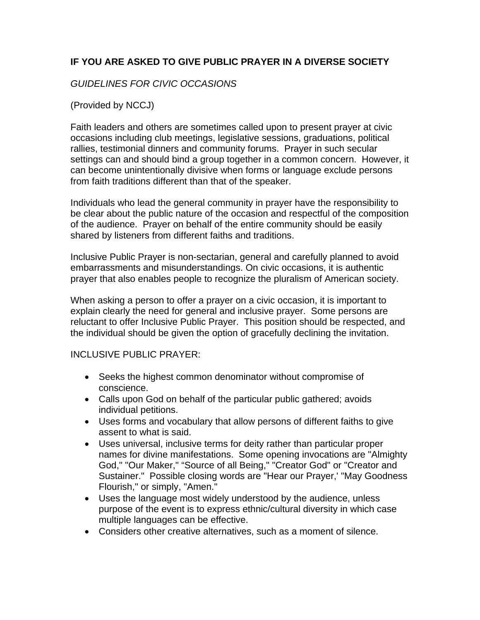## **IF YOU ARE ASKED TO GIVE PUBLIC PRAYER IN A DIVERSE SOCIETY**

## *GUIDELINES FOR CIVIC OCCASIONS*

## (Provided by NCCJ)

Faith leaders and others are sometimes called upon to present prayer at civic occasions including club meetings, legislative sessions, graduations, political rallies, testimonial dinners and community forums. Prayer in such secular settings can and should bind a group together in a common concern. However, it can become unintentionally divisive when forms or language exclude persons from faith traditions different than that of the speaker.

Individuals who lead the general community in prayer have the responsibility to be clear about the public nature of the occasion and respectful of the composition of the audience. Prayer on behalf of the entire community should be easily shared by listeners from different faiths and traditions.

Inclusive Public Prayer is non-sectarian, general and carefully planned to avoid embarrassments and misunderstandings. On civic occasions, it is authentic prayer that also enables people to recognize the pluralism of American society.

When asking a person to offer a prayer on a civic occasion, it is important to explain clearly the need for general and inclusive prayer. Some persons are reluctant to offer Inclusive Public Prayer. This position should be respected, and the individual should be given the option of gracefully declining the invitation.

## INCLUSIVE PUBLIC PRAYER:

- Seeks the highest common denominator without compromise of conscience.
- Calls upon God on behalf of the particular public gathered; avoids individual petitions.
- Uses forms and vocabulary that allow persons of different faiths to give assent to what is said.
- Uses universal, inclusive terms for deity rather than particular proper names for divine manifestations. Some opening invocations are "Almighty God," "Our Maker," "Source of all Being," "Creator God" or "Creator and Sustainer." Possible closing words are "Hear our Prayer,' "May Goodness Flourish," or simply, "Amen."
- Uses the language most widely understood by the audience, unless purpose of the event is to express ethnic/cultural diversity in which case multiple languages can be effective.
- Considers other creative alternatives, such as a moment of silence.